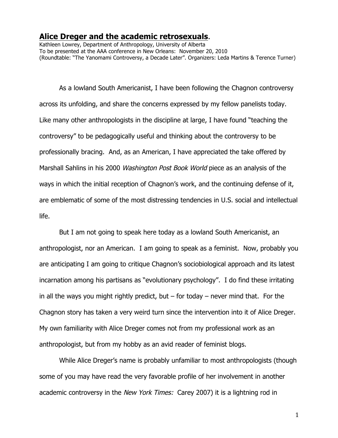## **Alice Dreger and the academic retrosexuals**.

Kathleen Lowrey, Department of Anthropology, University of Alberta To be presented at the AAA conference in New Orleans: November 20, 2010 (Roundtable: "The Yanomami Controversy, a Decade Later". Organizers: Leda Martins & Terence Turner)

As a lowland South Americanist, I have been following the Chagnon controversy across its unfolding, and share the concerns expressed by my fellow panelists today. Like many other anthropologists in the discipline at large, I have found "teaching the controversy" to be pedagogically useful and thinking about the controversy to be professionally bracing. And, as an American, I have appreciated the take offered by Marshall Sahlins in his 2000 *Washington Post Book World* piece as an analysis of the ways in which the initial reception of Chagnon's work, and the continuing defense of it, are emblematic of some of the most distressing tendencies in U.S. social and intellectual life.

But I am not going to speak here today as a lowland South Americanist, an anthropologist, nor an American. I am going to speak as a feminist. Now, probably you are anticipating I am going to critique Chagnon's sociobiological approach and its latest incarnation among his partisans as "evolutionary psychology". I do find these irritating in all the ways you might rightly predict, but  $-$  for today  $-$  never mind that. For the Chagnon story has taken a very weird turn since the intervention into it of Alice Dreger. My own familiarity with Alice Dreger comes not from my professional work as an anthropologist, but from my hobby as an avid reader of feminist blogs.

While Alice Dreger's name is probably unfamiliar to most anthropologists (though some of you may have read the very favorable profile of her involvement in another academic controversy in the New York Times: Carey 2007) it is a lightning rod in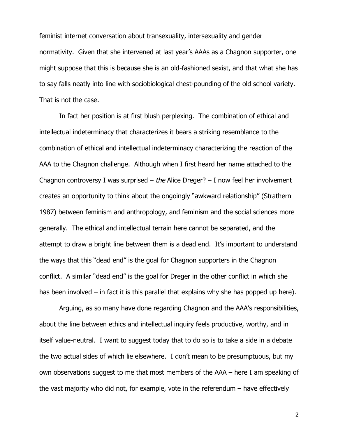feminist internet conversation about transexuality, intersexuality and gender normativity. Given that she intervened at last year's AAAs as a Chagnon supporter, one might suppose that this is because she is an old-fashioned sexist, and that what she has to say falls neatly into line with sociobiological chest-pounding of the old school variety. That is not the case.

In fact her position is at first blush perplexing. The combination of ethical and intellectual indeterminacy that characterizes it bears a striking resemblance to the combination of ethical and intellectual indeterminacy characterizing the reaction of the AAA to the Chagnon challenge. Although when I first heard her name attached to the Chagnon controversy I was surprised – the Alice Dreger? – I now feel her involvement creates an opportunity to think about the ongoingly "awkward relationship" (Strathern 1987) between feminism and anthropology, and feminism and the social sciences more generally. The ethical and intellectual terrain here cannot be separated, and the attempt to draw a bright line between them is a dead end. It's important to understand the ways that this "dead end" is the goal for Chagnon supporters in the Chagnon conflict. A similar "dead end" is the goal for Dreger in the other conflict in which she has been involved – in fact it is this parallel that explains why she has popped up here).

Arguing, as so many have done regarding Chagnon and the AAA's responsibilities, about the line between ethics and intellectual inquiry feels productive, worthy, and in itself value-neutral. I want to suggest today that to do so is to take a side in a debate the two actual sides of which lie elsewhere. I don't mean to be presumptuous, but my own observations suggest to me that most members of the AAA – here I am speaking of the vast majority who did not, for example, vote in the referendum – have effectively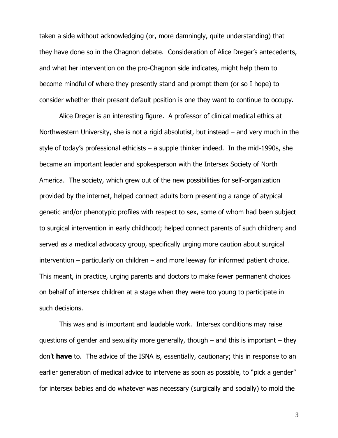taken a side without acknowledging (or, more damningly, quite understanding) that they have done so in the Chagnon debate. Consideration of Alice Dreger's antecedents, and what her intervention on the pro-Chagnon side indicates, might help them to become mindful of where they presently stand and prompt them (or so I hope) to consider whether their present default position is one they want to continue to occupy.

Alice Dreger is an interesting figure. A professor of clinical medical ethics at Northwestern University, she is not a rigid absolutist, but instead – and very much in the style of today's professional ethicists – a supple thinker indeed. In the mid-1990s, she became an important leader and spokesperson with the Intersex Society of North America. The society, which grew out of the new possibilities for self-organization provided by the internet, helped connect adults born presenting a range of atypical genetic and/or phenotypic profiles with respect to sex, some of whom had been subject to surgical intervention in early childhood; helped connect parents of such children; and served as a medical advocacy group, specifically urging more caution about surgical intervention – particularly on children – and more leeway for informed patient choice. This meant, in practice, urging parents and doctors to make fewer permanent choices on behalf of intersex children at a stage when they were too young to participate in such decisions.

This was and is important and laudable work. Intersex conditions may raise questions of gender and sexuality more generally, though  $-$  and this is important  $-$  they don't **have** to. The advice of the ISNA is, essentially, cautionary; this in response to an earlier generation of medical advice to intervene as soon as possible, to "pick a gender" for intersex babies and do whatever was necessary (surgically and socially) to mold the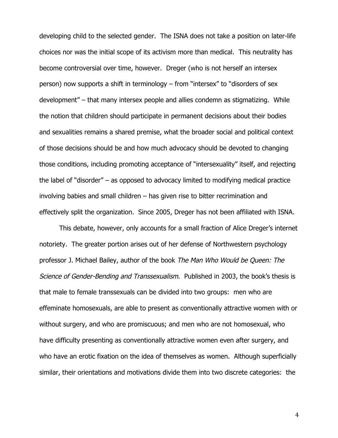developing child to the selected gender. The ISNA does not take a position on later-life choices nor was the initial scope of its activism more than medical. This neutrality has become controversial over time, however. Dreger (who is not herself an intersex person) now supports a shift in terminology – from "intersex" to "disorders of sex development" – that many intersex people and allies condemn as stigmatizing. While the notion that children should participate in permanent decisions about their bodies and sexualities remains a shared premise, what the broader social and political context of those decisions should be and how much advocacy should be devoted to changing those conditions, including promoting acceptance of "intersexuality" itself, and rejecting the label of "disorder" – as opposed to advocacy limited to modifying medical practice involving babies and small children – has given rise to bitter recrimination and effectively split the organization. Since 2005, Dreger has not been affiliated with ISNA.

This debate, however, only accounts for a small fraction of Alice Dreger's internet notoriety. The greater portion arises out of her defense of Northwestern psychology professor J. Michael Bailey, author of the book The Man Who Would be Queen: The Science of Gender-Bending and Transsexualism. Published in 2003, the book's thesis is that male to female transsexuals can be divided into two groups: men who are effeminate homosexuals, are able to present as conventionally attractive women with or without surgery, and who are promiscuous; and men who are not homosexual, who have difficulty presenting as conventionally attractive women even after surgery, and who have an erotic fixation on the idea of themselves as women. Although superficially similar, their orientations and motivations divide them into two discrete categories: the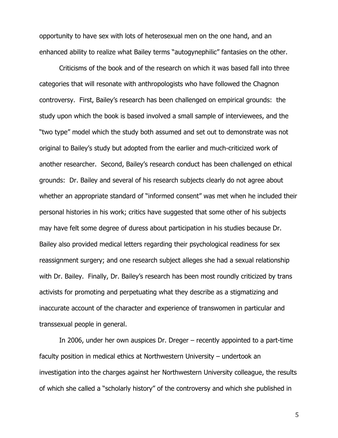opportunity to have sex with lots of heterosexual men on the one hand, and an enhanced ability to realize what Bailey terms "autogynephilic" fantasies on the other.

Criticisms of the book and of the research on which it was based fall into three categories that will resonate with anthropologists who have followed the Chagnon controversy. First, Bailey's research has been challenged on empirical grounds: the study upon which the book is based involved a small sample of interviewees, and the "two type" model which the study both assumed and set out to demonstrate was not original to Bailey's study but adopted from the earlier and much-criticized work of another researcher. Second, Bailey's research conduct has been challenged on ethical grounds: Dr. Bailey and several of his research subjects clearly do not agree about whether an appropriate standard of "informed consent" was met when he included their personal histories in his work; critics have suggested that some other of his subjects may have felt some degree of duress about participation in his studies because Dr. Bailey also provided medical letters regarding their psychological readiness for sex reassignment surgery; and one research subject alleges she had a sexual relationship with Dr. Bailey. Finally, Dr. Bailey's research has been most roundly criticized by trans activists for promoting and perpetuating what they describe as a stigmatizing and inaccurate account of the character and experience of transwomen in particular and transsexual people in general.

In 2006, under her own auspices Dr. Dreger – recently appointed to a part-time faculty position in medical ethics at Northwestern University – undertook an investigation into the charges against her Northwestern University colleague, the results of which she called a "scholarly history" of the controversy and which she published in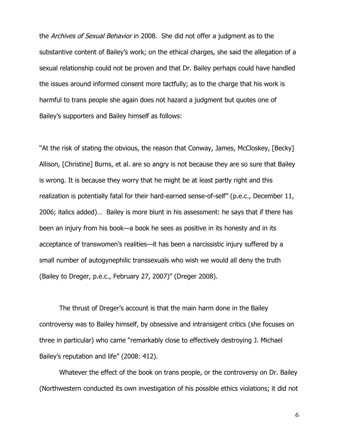the Archives of Sexual Behavior in 2008. She did not offer a judgment as to the substantive content of Bailey's work; on the ethical charges, she said the allegation of a sexual relationship could not be proven and that Dr. Bailey perhaps could have handled the issues around informed consent more tactfully; as to the charge that his work is harmful to trans people she again does not hazard a judgment but quotes one of Bailey's supporters and Bailey himself as follows:

''At the risk of stating the obvious, the reason that Conway, James, McCloskey, [Becky] Allison, [Christine] Burns, et al. are so angry is not because they are so sure that Bailey is wrong. It is because they worry that he might be at least partly right and this realization is potentially fatal for their hard-earned sense-of-self'' (p.e.c., December 11, 2006; italics added)… Bailey is more blunt in his assessment: he says that if there has been an injury from his book—a book he sees as positive in its honesty and in its acceptance of transwomen's realities—it has been a narcissistic injury suffered by a small number of autogynephilic transsexuals who wish we would all deny the truth (Bailey to Dreger, p.e.c., February 27, 2007)" (Dreger 2008).

The thrust of Dreger's account is that the main harm done in the Bailey controversy was to Bailey himself, by obsessive and intransigent critics (she focuses on three in particular) who came "remarkably close to effectively destroying J. Michael Bailey's reputation and life" (2008: 412).

Whatever the effect of the book on trans people, or the controversy on Dr. Bailey (Northwestern conducted its own investigation of his possible ethics violations; it did not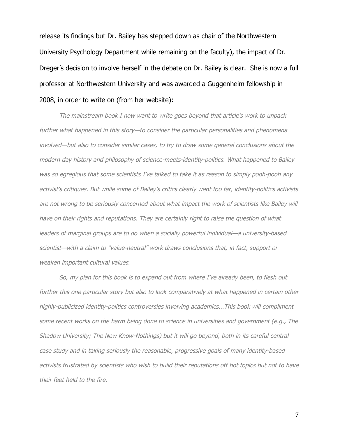release its findings but Dr. Bailey has stepped down as chair of the Northwestern University Psychology Department while remaining on the faculty), the impact of Dr. Dreger's decision to involve herself in the debate on Dr. Bailey is clear. She is now a full professor at Northwestern University and was awarded a Guggenheim fellowship in 2008, in order to write on (from her website):

The mainstream book I now want to write goes beyond that article's work to unpack further what happened in this story—to consider the particular personalities and phenomena involved—but also to consider similar cases, to try to draw some general conclusions about the modern day history and philosophy of science-meets-identity-politics. What happened to Bailey was so egregious that some scientists I've talked to take it as reason to simply pooh-pooh any activist's critiques. But while some of Bailey's critics clearly went too far, identity-politics activists are not wrong to be seriously concerned about what impact the work of scientists like Bailey will have on their rights and reputations. They are certainly right to raise the question of what leaders of marginal groups are to do when a socially powerful individual—a university-based scientist—with a claim to "value-neutral" work draws conclusions that, in fact, support or weaken important cultural values.

So, my plan for this book is to expand out from where I've already been, to flesh out further this one particular story but also to look comparatively at what happened in certain other highly-publicized identity-politics controversies involving academics...This book will compliment some recent works on the harm being done to science in universities and government (e.g., The Shadow University; The New Know-Nothings) but it will go beyond, both in its careful central case study and in taking seriously the reasonable, progressive goals of many identity-based activists frustrated by scientists who wish to build their reputations off hot topics but not to have their feet held to the fire.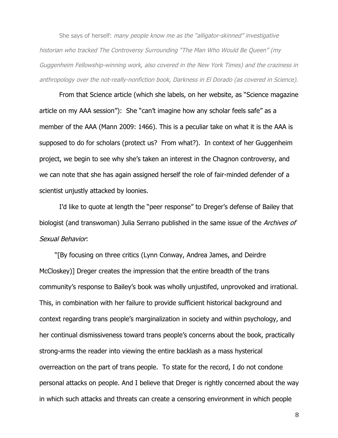She says of herself: many people know me as the "alligator-skinned" investigative historian who tracked The Controversy Surrounding "The Man Who Would Be Queen" (my Guggenheim Fellowship-winning work, also covered in the New York Times) and the craziness in anthropology over the not-really-nonfiction book, Darkness in El Dorado (as covered in Science).

From that Science article (which she labels, on her website, as "Science magazine article on my AAA session"): She "can't imagine how any scholar feels safe" as a member of the AAA (Mann 2009: 1466). This is a peculiar take on what it is the AAA is supposed to do for scholars (protect us? From what?). In context of her Guggenheim project, we begin to see why she's taken an interest in the Chagnon controversy, and we can note that she has again assigned herself the role of fair-minded defender of a scientist unjustly attacked by loonies.

I'd like to quote at length the "peer response" to Dreger's defense of Bailey that biologist (and transwoman) Julia Serrano published in the same issue of the Archives of Sexual Behavior:

"[By focusing on three critics (Lynn Conway, Andrea James, and Deirdre McCloskey)] Dreger creates the impression that the entire breadth of the trans community's response to Bailey's book was wholly unjustifed, unprovoked and irrational. This, in combination with her failure to provide sufficient historical background and context regarding trans people's marginalization in society and within psychology, and her continual dismissiveness toward trans people's concerns about the book, practically strong-arms the reader into viewing the entire backlash as a mass hysterical overreaction on the part of trans people. To state for the record, I do not condone personal attacks on people. And I believe that Dreger is rightly concerned about the way in which such attacks and threats can create a censoring environment in which people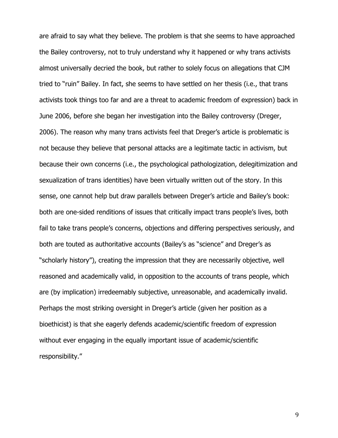are afraid to say what they believe. The problem is that she seems to have approached the Bailey controversy, not to truly understand why it happened or why trans activists almost universally decried the book, but rather to solely focus on allegations that CJM tried to "ruin" Bailey. In fact, she seems to have settled on her thesis (i.e., that trans activists took things too far and are a threat to academic freedom of expression) back in June 2006, before she began her investigation into the Bailey controversy (Dreger, 2006). The reason why many trans activists feel that Dreger's article is problematic is not because they believe that personal attacks are a legitimate tactic in activism, but because their own concerns (i.e., the psychological pathologization, delegitimization and sexualization of trans identities) have been virtually written out of the story. In this sense, one cannot help but draw parallels between Dreger's article and Bailey's book: both are one-sided renditions of issues that critically impact trans people's lives, both fail to take trans people's concerns, objections and differing perspectives seriously, and both are touted as authoritative accounts (Bailey's as "science" and Dreger's as "scholarly history"), creating the impression that they are necessarily objective, well reasoned and academically valid, in opposition to the accounts of trans people, which are (by implication) irredeemably subjective, unreasonable, and academically invalid. Perhaps the most striking oversight in Dreger's article (given her position as a bioethicist) is that she eagerly defends academic/scientific freedom of expression without ever engaging in the equally important issue of academic/scientific responsibility."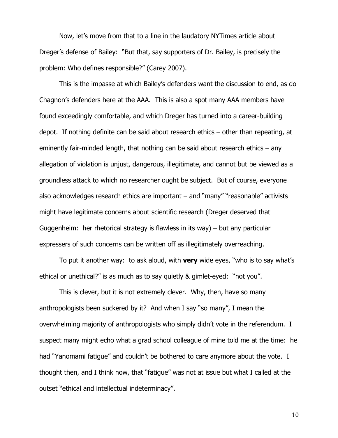Now, let's move from that to a line in the laudatory NYTimes article about Dreger's defense of Bailey: "But that, say supporters of Dr. Bailey, is precisely the problem: Who defines responsible?" (Carey 2007).

This is the impasse at which Bailey's defenders want the discussion to end, as do Chagnon's defenders here at the AAA. This is also a spot many AAA members have found exceedingly comfortable, and which Dreger has turned into a career-building depot. If nothing definite can be said about research ethics – other than repeating, at eminently fair-minded length, that nothing can be said about research ethics – any allegation of violation is unjust, dangerous, illegitimate, and cannot but be viewed as a groundless attack to which no researcher ought be subject. But of course, everyone also acknowledges research ethics are important – and "many" "reasonable" activists might have legitimate concerns about scientific research (Dreger deserved that Guggenheim: her rhetorical strategy is flawless in its way) – but any particular expressers of such concerns can be written off as illegitimately overreaching.

To put it another way: to ask aloud, with **very** wide eyes, "who is to say what's ethical or unethical?" is as much as to say quietly & gimlet-eyed: "not you".

This is clever, but it is not extremely clever. Why, then, have so many anthropologists been suckered by it? And when I say "so many", I mean the overwhelming majority of anthropologists who simply didn't vote in the referendum. I suspect many might echo what a grad school colleague of mine told me at the time: he had "Yanomami fatique" and couldn't be bothered to care anymore about the vote. I thought then, and I think now, that "fatigue" was not at issue but what I called at the outset "ethical and intellectual indeterminacy".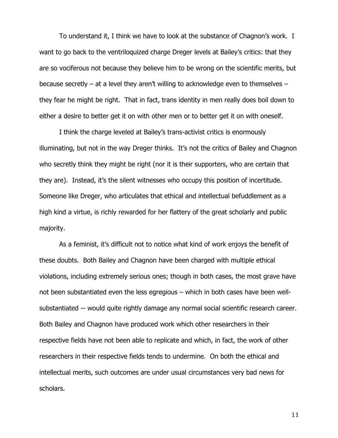To understand it, I think we have to look at the substance of Chagnon's work. I want to go back to the ventriloquized charge Dreger levels at Bailey's critics: that they are so vociferous not because they believe him to be wrong on the scientific merits, but because secretly – at a level they aren't willing to acknowledge even to themselves – they fear he might be right. That in fact, trans identity in men really does boil down to either a desire to better get it on with other men or to better get it on with oneself.

I think the charge leveled at Bailey's trans-activist critics is enormously illuminating, but not in the way Dreger thinks. It's not the critics of Bailey and Chagnon who secretly think they might be right (nor it is their supporters, who are certain that they are). Instead, it's the silent witnesses who occupy this position of incertitude. Someone like Dreger, who articulates that ethical and intellectual befuddlement as a high kind a virtue, is richly rewarded for her flattery of the great scholarly and public majority.

As a feminist, it's difficult not to notice what kind of work enjoys the benefit of these doubts. Both Bailey and Chagnon have been charged with multiple ethical violations, including extremely serious ones; though in both cases, the most grave have not been substantiated even the less egregious – which in both cases have been wellsubstantiated -- would quite rightly damage any normal social scientific research career. Both Bailey and Chagnon have produced work which other researchers in their respective fields have not been able to replicate and which, in fact, the work of other researchers in their respective fields tends to undermine. On both the ethical and intellectual merits, such outcomes are under usual circumstances very bad news for scholars.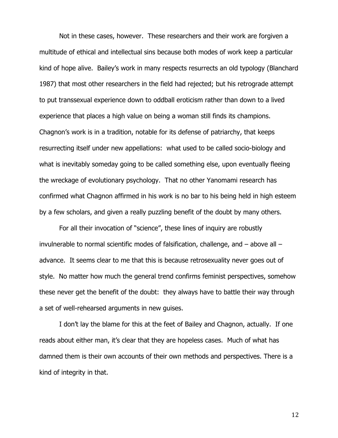Not in these cases, however. These researchers and their work are forgiven a multitude of ethical and intellectual sins because both modes of work keep a particular kind of hope alive. Bailey's work in many respects resurrects an old typology (Blanchard 1987) that most other researchers in the field had rejected; but his retrograde attempt to put transsexual experience down to oddball eroticism rather than down to a lived experience that places a high value on being a woman still finds its champions. Chagnon's work is in a tradition, notable for its defense of patriarchy, that keeps resurrecting itself under new appellations: what used to be called socio-biology and what is inevitably someday going to be called something else, upon eventually fleeing the wreckage of evolutionary psychology. That no other Yanomami research has confirmed what Chagnon affirmed in his work is no bar to his being held in high esteem by a few scholars, and given a really puzzling benefit of the doubt by many others.

For all their invocation of "science", these lines of inquiry are robustly invulnerable to normal scientific modes of falsification, challenge, and – above all – advance. It seems clear to me that this is because retrosexuality never goes out of style. No matter how much the general trend confirms feminist perspectives, somehow these never get the benefit of the doubt: they always have to battle their way through a set of well-rehearsed arguments in new guises.

I don't lay the blame for this at the feet of Bailey and Chagnon, actually. If one reads about either man, it's clear that they are hopeless cases. Much of what has damned them is their own accounts of their own methods and perspectives. There is a kind of integrity in that.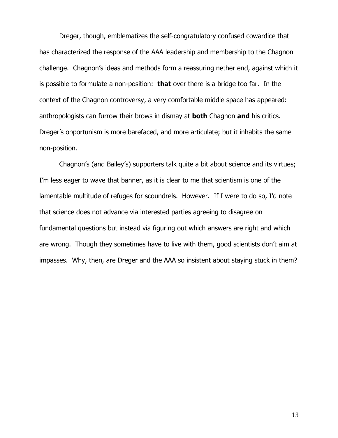Dreger, though, emblematizes the self-congratulatory confused cowardice that has characterized the response of the AAA leadership and membership to the Chagnon challenge. Chagnon's ideas and methods form a reassuring nether end, against which it is possible to formulate a non-position: **that** over there is a bridge too far. In the context of the Chagnon controversy, a very comfortable middle space has appeared: anthropologists can furrow their brows in dismay at **both** Chagnon **and** his critics. Dreger's opportunism is more barefaced, and more articulate; but it inhabits the same non-position.

Chagnon's (and Bailey's) supporters talk quite a bit about science and its virtues; I'm less eager to wave that banner, as it is clear to me that scientism is one of the lamentable multitude of refuges for scoundrels. However. If I were to do so, I'd note that science does not advance via interested parties agreeing to disagree on fundamental questions but instead via figuring out which answers are right and which are wrong. Though they sometimes have to live with them, good scientists don't aim at impasses. Why, then, are Dreger and the AAA so insistent about staying stuck in them?